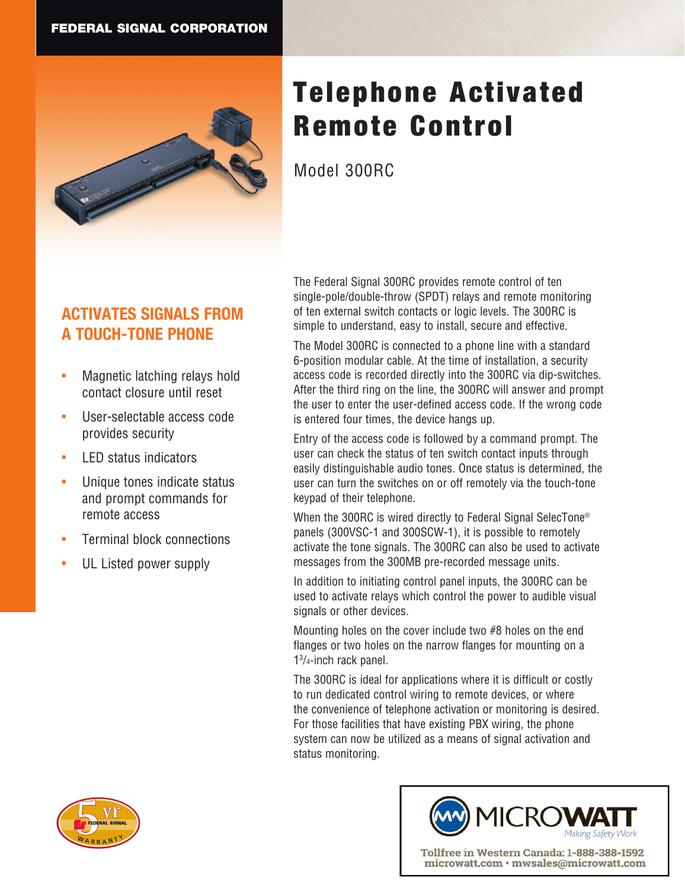

# Telephone Activated Remote Control

Model 300RC

## **ACTIVATES SIGNALS FROM A TOUCH-TONE PHONE**

- Magnetic latching relays hold contact closure until reset
- User-selectable access code provides security
- LED status indicators
- Unique tones indicate status and prompt commands for remote access
- Terminal block connections
- UL Listed power supply

The Federal Signal 300RC provides remote control of ten single-pole/double-throw (SPDT) relays and remote monitoring of ten external switch contacts or logic levels. The 300RC is simple to understand, easy to install, secure and effective.

The Model 300RC is connected to a phone line with a standard 6-position modular cable. At the time of installation, a security access code is recorded directly into the 300RC via dip-switches. After the third ring on the line, the 300RC will answer and prompt the user to enter the user-defined access code. If the wrong code is entered four times, the device hangs up.

Entry of the access code is followed by a command prompt. The user can check the status of ten switch contact inputs through easily distinguishable audio tones. Once status is determined, the user can turn the switches on or off remotely via the touch-tone keypad of their telephone.

When the 300RC is wired directly to Federal Signal SelecTone® panels (300VSC-1 and 300SCW-1), it is possible to remotely activate the tone signals. The 300RC can also be used to activate messages from the 300MB pre-recorded message units.

In addition to initiating control panel inputs, the 300RC can be used to activate relays which control the power to audible visual signals or other devices.

Mounting holes on the cover include two #8 holes on the end flanges or two holes on the narrow flanges for mounting on a 13 /4-inch rack panel.

The 300RC is ideal for applications where it is difficult or costly to run dedicated control wiring to remote devices, or where the convenience of telephone activation or monitoring is desired. For those facilities that have existing PBX wiring, the phone system can now be utilized as a means of signal activation and status monitoring.